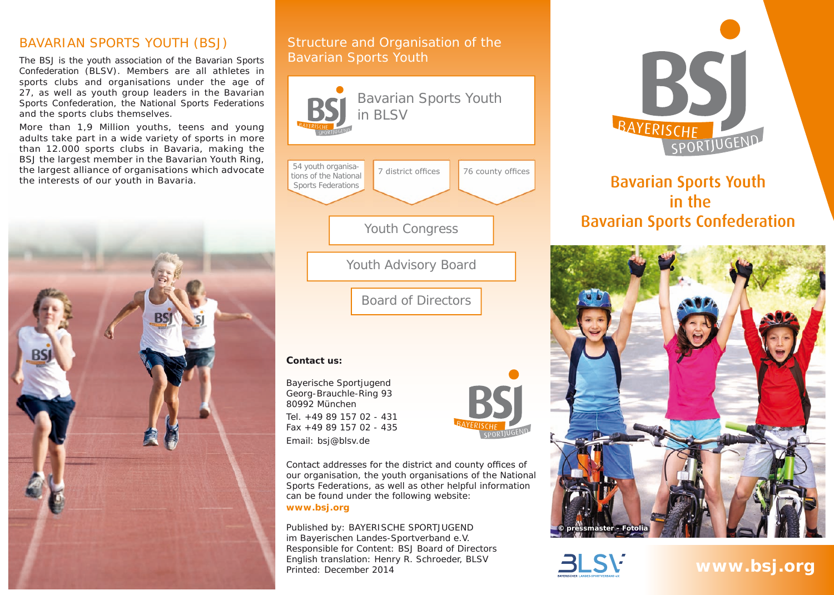#### BAVARIAN SPORTS YOUTH (BSJ)

The BSJ is the youth association of the Bavarian Sports Confederation (BLSV). Members are all athletes in sports clubs and organisations under the age of 27, as well as youth group leaders in the Bavarian Sports Confederation, the National Sports Federations and the sports clubs themselves.

More than 1,9 Million youths, teens and young adults take part in a wide variety of sports in more than 12.000 sports clubs in Bavaria, making the BSJ the largest member in the Bavarian Youth Ring, the largest alliance of organisations which advocate the interests of our youth in Bavaria.



#### Structure and Organisation of the Bavarian Sports Youth



Tel. +49 89 157 02 - 431 Fax +49 89 157 02 - 435 Email: bsj@blsv.de

Contact addresses for the district and county offices of our organisation, the youth organisations of the National Sports Federations, as well as other helpful information can be found under the following website: **www.bsj.org**

Published by: BAYERISCHE SPORTJUGEND im Bayerischen Landes-Sportverband e.V. Responsible for Content: BSJ Board of Directors English translation: Henry R. Schroeder, BLSV Printed: December 2014



# Bavarian Sports Youth in the Bavarian Sports Confederation





**www.bsj.org**